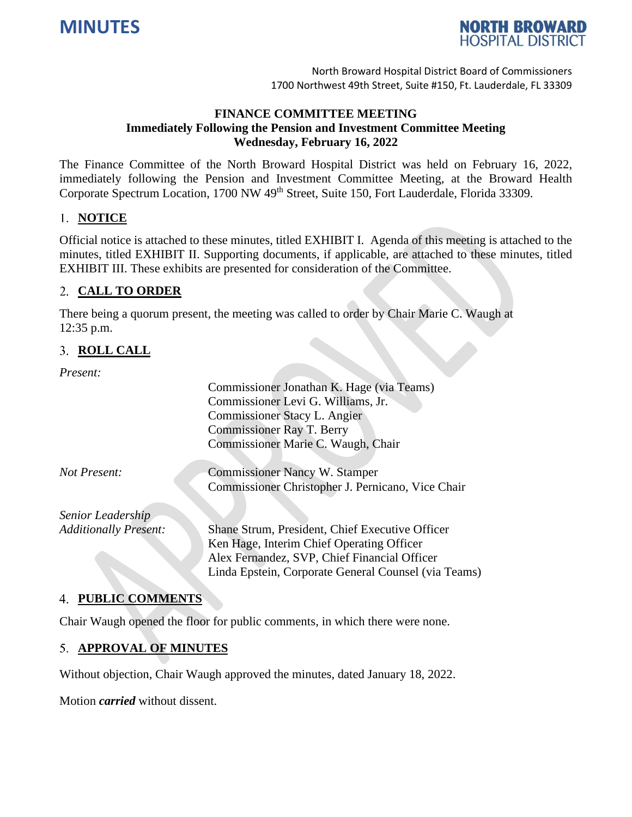



# **FINANCE COMMITTEE MEETING Immediately Following the Pension and Investment Committee Meeting Wednesday, February 16, 2022**

The Finance Committee of the North Broward Hospital District was held on February 16, 2022, immediately following the Pension and Investment Committee Meeting, at the Broward Health Corporate Spectrum Location, 1700 NW 49<sup>th</sup> Street, Suite 150, Fort Lauderdale, Florida 33309.

## 1. **NOTICE**

Official notice is attached to these minutes, titled EXHIBIT I. Agenda of this meeting is attached to the minutes, titled EXHIBIT II. Supporting documents, if applicable, are attached to these minutes, titled EXHIBIT III. These exhibits are presented for consideration of the Committee.

## **CALL TO ORDER**

There being a quorum present, the meeting was called to order by Chair Marie C. Waugh at 12:35 p.m.

## **ROLL CALL**

*Present:*

|                              | Commissioner Jonathan K. Hage (via Teams)            |
|------------------------------|------------------------------------------------------|
|                              | Commissioner Levi G. Williams, Jr.                   |
|                              | Commissioner Stacy L. Angier                         |
|                              | <b>Commissioner Ray T. Berry</b>                     |
|                              | Commissioner Marie C. Waugh, Chair                   |
|                              |                                                      |
| Not Present:                 | <b>Commissioner Nancy W. Stamper</b>                 |
|                              | Commissioner Christopher J. Pernicano, Vice Chair    |
| Senior Leadership            |                                                      |
| <b>Additionally Present:</b> | Shane Strum, President, Chief Executive Officer      |
|                              | Ken Hage, Interim Chief Operating Officer            |
|                              | Alex Fernandez, SVP, Chief Financial Officer         |
|                              | Linda Epstein, Corporate General Counsel (via Teams) |

# **PUBLIC COMMENTS**

Chair Waugh opened the floor for public comments, in which there were none.

# **APPROVAL OF MINUTES**

Without objection, Chair Waugh approved the minutes, dated January 18, 2022.

Motion *carried* without dissent.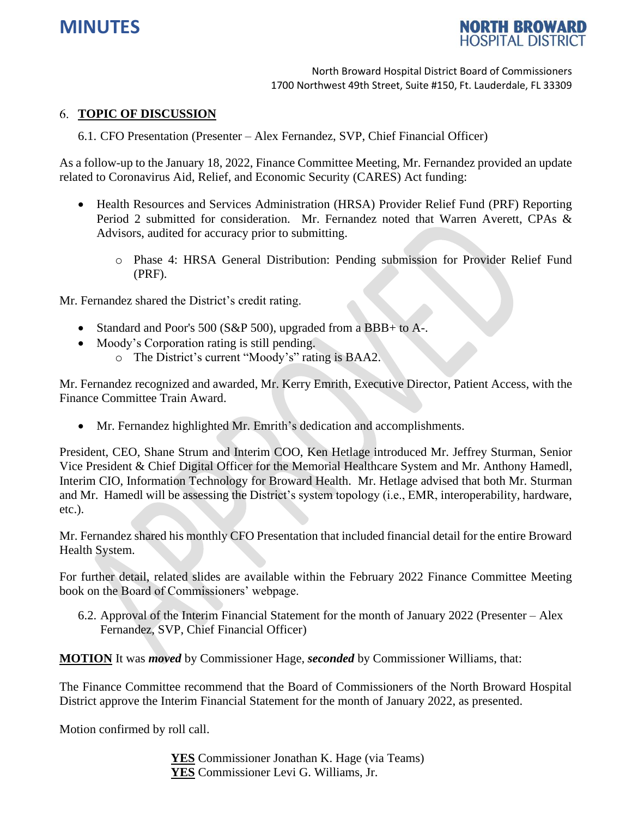



## **TOPIC OF DISCUSSION**

6.1. CFO Presentation (Presenter – Alex Fernandez, SVP, Chief Financial Officer)

As a follow-up to the January 18, 2022, Finance Committee Meeting, Mr. Fernandez provided an update related to Coronavirus Aid, Relief, and Economic Security (CARES) Act funding:

- Health Resources and Services Administration (HRSA) Provider Relief Fund (PRF) Reporting Period 2 submitted for consideration. Mr. Fernandez noted that Warren Averett, CPAs & Advisors, audited for accuracy prior to submitting.
	- o Phase 4: HRSA General Distribution: Pending submission for Provider Relief Fund (PRF).

Mr. Fernandez shared the District's credit rating.

- Standard and Poor's 500 (S&P 500), upgraded from a BBB+ to A-.
- Moody's Corporation rating is still pending.
	- o The District's current "Moody's" rating is BAA2.

Mr. Fernandez recognized and awarded, Mr. Kerry Emrith, Executive Director, Patient Access, with the Finance Committee Train Award.

• Mr. Fernandez highlighted Mr. Emrith's dedication and accomplishments.

President, CEO, Shane Strum and Interim COO, Ken Hetlage introduced Mr. Jeffrey Sturman, Senior Vice President & Chief Digital Officer for the Memorial Healthcare System and Mr. Anthony Hamedl, Interim CIO, Information Technology for Broward Health. Mr. Hetlage advised that both Mr. Sturman and Mr. Hamedl will be assessing the District's system topology (i.e., EMR, interoperability, hardware, etc.).

Mr. Fernandez shared his monthly CFO Presentation that included financial detail for the entire Broward Health System.

For further detail, related slides are available within the February 2022 Finance Committee Meeting book on the Board of Commissioners' webpage.

6.2. Approval of the Interim Financial Statement for the month of January 2022 (Presenter – Alex Fernandez, SVP, Chief Financial Officer)

**MOTION** It was *moved* by Commissioner Hage, *seconded* by Commissioner Williams, that:

The Finance Committee recommend that the Board of Commissioners of the North Broward Hospital District approve the Interim Financial Statement for the month of January 2022, as presented.

Motion confirmed by roll call.

**YES** Commissioner Jonathan K. Hage (via Teams) **YES** Commissioner Levi G. Williams, Jr.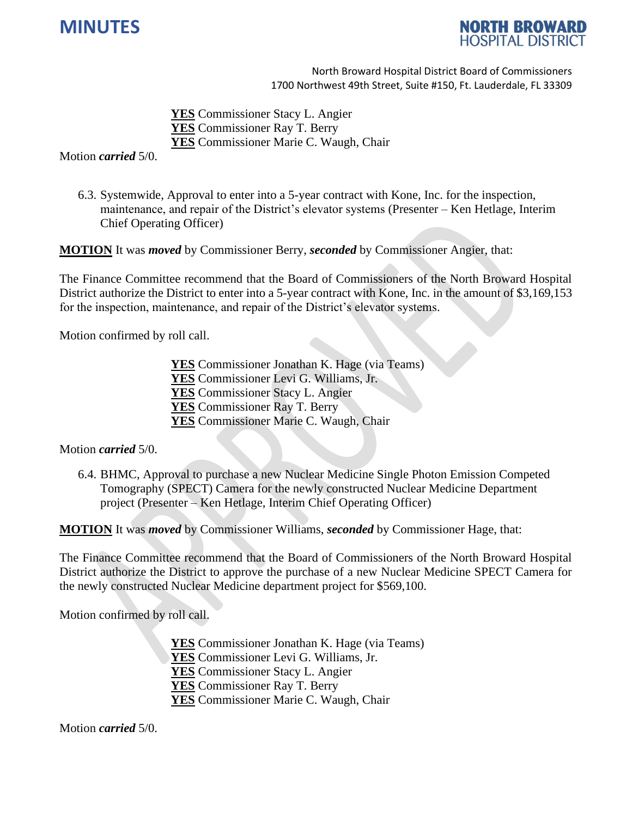



**YES** Commissioner Stacy L. Angier **YES** Commissioner Ray T. Berry **YES** Commissioner Marie C. Waugh, Chair

Motion *carried* 5/0.

6.3. Systemwide, Approval to enter into a 5-year contract with Kone, Inc. for the inspection, maintenance, and repair of the District's elevator systems (Presenter – Ken Hetlage, Interim Chief Operating Officer)

**MOTION** It was *moved* by Commissioner Berry, *seconded* by Commissioner Angier, that:

The Finance Committee recommend that the Board of Commissioners of the North Broward Hospital District authorize the District to enter into a 5-year contract with Kone, Inc. in the amount of \$3,169,153 for the inspection, maintenance, and repair of the District's elevator systems.

Motion confirmed by roll call.

- **YES** Commissioner Jonathan K. Hage (via Teams)
- **YES** Commissioner Levi G. Williams, Jr.
- **YES** Commissioner Stacy L. Angier
- **YES** Commissioner Ray T. Berry
- **YES** Commissioner Marie C. Waugh, Chair

Motion *carried* 5/0.

6.4. BHMC, Approval to purchase a new Nuclear Medicine Single Photon Emission Competed Tomography (SPECT) Camera for the newly constructed Nuclear Medicine Department project (Presenter – Ken Hetlage, Interim Chief Operating Officer)

**MOTION** It was *moved* by Commissioner Williams, *seconded* by Commissioner Hage, that:

The Finance Committee recommend that the Board of Commissioners of the North Broward Hospital District authorize the District to approve the purchase of a new Nuclear Medicine SPECT Camera for the newly constructed Nuclear Medicine department project for \$569,100.

Motion confirmed by roll call.

**YES** Commissioner Jonathan K. Hage (via Teams) **YES** Commissioner Levi G. Williams, Jr. **YES** Commissioner Stacy L. Angier **YES** Commissioner Ray T. Berry

**YES** Commissioner Marie C. Waugh, Chair

Motion *carried* 5/0.